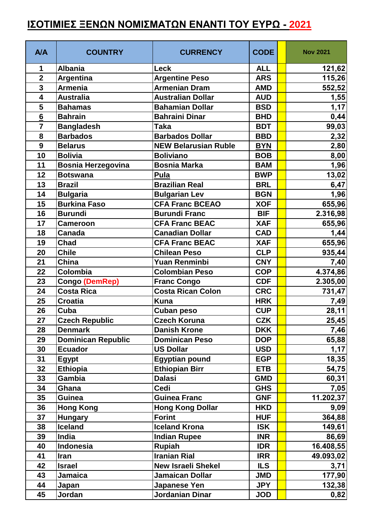## **ΙΣΟΤΙΜΙΕΣ ΞΕΝΩΝ ΝΟΜΙΣΜΑΤΩΝ ΕΝΑΝΤΙ ΤΟΥ ΕΥΡΩ - 2021**

| <b>A/A</b>       | <b>COUNTRY</b>            | <b>CURRENCY</b>             | <b>CODE</b> | <b>Nov 2021</b> |
|------------------|---------------------------|-----------------------------|-------------|-----------------|
| 1                | <b>Albania</b>            | Leck                        | <b>ALL</b>  | 121,62          |
| $\overline{2}$   | Argentina                 | <b>Argentine Peso</b>       | <b>ARS</b>  | 115,26          |
| $\mathbf{3}$     | <b>Armenia</b>            | <b>Armenian Dram</b>        | <b>AMD</b>  | 552,52          |
| 4                | <b>Australia</b>          | <b>Australian Dollar</b>    | <b>AUD</b>  | 1,55            |
| 5                | <b>Bahamas</b>            | <b>Bahamian Dollar</b>      | <b>BSD</b>  | 1,17            |
| $6\phantom{1}$   | <b>Bahrain</b>            | <b>Bahraini Dinar</b>       | <b>BHD</b>  | 0,44            |
| $\overline{7}$   | <b>Bangladesh</b>         | Taka                        | <b>BDT</b>  | 99,03           |
| 8                | <b>Barbados</b>           | <b>Barbados Dollar</b>      | <b>BBD</b>  | 2,32            |
| $\boldsymbol{9}$ | <b>Belarus</b>            | <b>NEW Belarusian Ruble</b> | <b>BYN</b>  | 2,80            |
| 10               | <b>Bolivia</b>            | <b>Boliviano</b>            | <b>BOB</b>  | 8,00            |
| 11               | <b>Bosnia Herzegovina</b> | Bosnia Marka                | <b>BAM</b>  | 1,96            |
| 12               | <b>Botswana</b>           | Pula                        | <b>BWP</b>  | 13,02           |
| 13               | <b>Brazil</b>             | <b>Brazilian Real</b>       | <b>BRL</b>  | 6,47            |
| 14               | <b>Bulgaria</b>           | <b>Bulgarian Lev</b>        | <b>BGN</b>  | 1,96            |
| 15               | <b>Burkina Faso</b>       | <b>CFA Franc BCEAO</b>      | <b>XOF</b>  | 655,96          |
| 16               | <b>Burundi</b>            | <b>Burundi Franc</b>        | <b>BIF</b>  | 2.316,98        |
| 17               | <b>Cameroon</b>           | <b>CFA Franc BEAC</b>       | <b>XAF</b>  | 655,96          |
| 18               | <b>Canada</b>             | <b>Canadian Dollar</b>      | <b>CAD</b>  | 1,44            |
| 19               | Chad                      | <b>CFA Franc BEAC</b>       | <b>XAF</b>  | 655,96          |
| 20               | <b>Chile</b>              | <b>Chilean Peso</b>         | <b>CLP</b>  | 935,44          |
| 21               | China                     | Yuan Renminbi               | <b>CNY</b>  | 7,40            |
| 22               | Colombia                  | <b>Colombian Peso</b>       | <b>COP</b>  | 4.374,86        |
| 23               | Congo (DemRep)            | <b>Franc Congo</b>          | <b>CDF</b>  | 2.305,00        |
| 24               | <b>Costa Rica</b>         | <b>Costa Rican Colon</b>    | <b>CRC</b>  | 731,47          |
| 25               | <b>Croatia</b>            | <b>Kuna</b>                 | <b>HRK</b>  | 7,49            |
| 26               | Cuba                      | <b>Cuban peso</b>           | <b>CUP</b>  | 28,11           |
| 27               | <b>Czech Republic</b>     | <b>Czech Koruna</b>         | <b>CZK</b>  | 25,45           |
| 28               | <b>Denmark</b>            | <b>Danish Krone</b>         | <b>DKK</b>  | 7,46            |
| 29               | <b>Dominican Republic</b> | <b>Dominican Peso</b>       | <b>DOP</b>  | 65,88           |
| 30               | <b>Ecuador</b>            | <b>US Dollar</b>            | <b>USD</b>  | 1,17            |
| 31               | <b>Egypt</b>              | <b>Egyptian pound</b>       | <b>EGP</b>  | 18,35           |
| 32               | <b>Ethiopia</b>           | <b>Ethiopian Birr</b>       | <b>ETB</b>  | 54,75           |
| 33               | <b>Gambia</b>             | <b>Dalasi</b>               | <b>GMD</b>  | 60,31           |
| 34               | Ghana                     | Cedi                        | <b>GHS</b>  | 7,05            |
| 35               | <b>Guinea</b>             | <b>Guinea Franc</b>         | <b>GNF</b>  | 11.202,37       |
| 36               | <b>Hong Kong</b>          | <b>Hong Kong Dollar</b>     | <b>HKD</b>  | 9,09            |
| 37               | <b>Hungary</b>            | <b>Forint</b>               | <b>HUF</b>  | 364,88          |
| 38               | <b>Iceland</b>            | <b>Iceland Krona</b>        | <b>ISK</b>  | 149,61          |
| 39               | India                     | <b>Indian Rupee</b>         | <b>INR</b>  | 86,69           |
| 40               | Indonesia                 | <b>Rupiah</b>               | <b>IDR</b>  | 16.408,55       |
| 41               | <b>Iran</b>               | <b>Iranian Rial</b>         | <b>IRR</b>  | 49.093,02       |
| 42               | <b>Israel</b>             | <b>New Israeli Shekel</b>   | <b>ILS</b>  | 3,71            |
| 43               | <b>Jamaica</b>            | <b>Jamaican Dollar</b>      | <b>JMD</b>  | 177,90          |
| 44               | Japan                     | Japanese Yen                | <b>JPY</b>  | 132,38          |
| 45               | Jordan                    | Jordanian Dinar             | <b>JOD</b>  | 0,82            |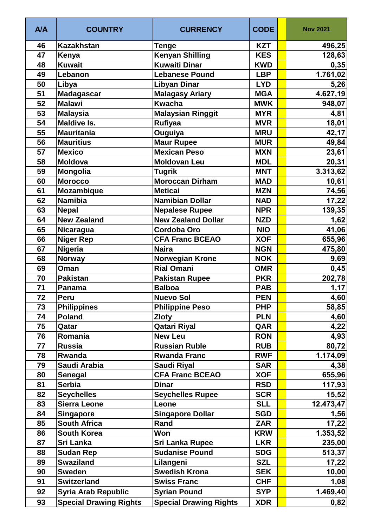| <b>A/A</b> | <b>COUNTRY</b>                | <b>CURRENCY</b>               | <b>CODE</b> | <b>Nov 2021</b> |
|------------|-------------------------------|-------------------------------|-------------|-----------------|
| 46         | <b>Kazakhstan</b>             | <b>Tenge</b>                  | <b>KZT</b>  | 496,25          |
| 47         | Kenya                         | <b>Kenyan Shilling</b>        | <b>KES</b>  | 128,63          |
| 48         | <b>Kuwait</b>                 | <b>Kuwaiti Dinar</b>          | <b>KWD</b>  | 0,35            |
| 49         | Lebanon                       | <b>Lebanese Pound</b>         | <b>LBP</b>  | 1.761,02        |
| 50         | Libya                         | <b>Libyan Dinar</b>           | <b>LYD</b>  | 5,26            |
| 51         | <b>Madagascar</b>             | <b>Malagasy Ariary</b>        | <b>MGA</b>  | 4.627,19        |
| 52         | <b>Malawi</b>                 | <b>Kwacha</b>                 | <b>MWK</b>  | 948,07          |
| 53         | <b>Malaysia</b>               | <b>Malaysian Ringgit</b>      | <b>MYR</b>  | 4,81            |
| 54         | <b>Maldive Is.</b>            | Rufiyaa                       | <b>MVR</b>  | 18,01           |
| 55         | Mauritania                    | Ouguiya                       | <b>MRU</b>  | 42,17           |
| 56         | <b>Mauritius</b>              | <b>Maur Rupee</b>             | <b>MUR</b>  | 49,84           |
| 57         | <b>Mexico</b>                 | <b>Mexican Peso</b>           | <b>MXN</b>  | 23,61           |
| 58         | Moldova                       | <b>Moldovan Leu</b>           | <b>MDL</b>  | 20,31           |
| 59         | <b>Mongolia</b>               | <b>Tugrik</b>                 | <b>MNT</b>  | 3.313,62        |
| 60         | <b>Morocco</b>                | <b>Moroccan Dirham</b>        | <b>MAD</b>  | 10,61           |
| 61         | Mozambique                    | <b>Meticai</b>                | <b>MZN</b>  | 74,56           |
| 62         | <b>Namibia</b>                | <b>Namibian Dollar</b>        | <b>NAD</b>  | 17,22           |
| 63         | <b>Nepal</b>                  | <b>Nepalese Rupee</b>         | <b>NPR</b>  | 139,35          |
| 64         | <b>New Zealand</b>            | <b>New Zealand Dollar</b>     | <b>NZD</b>  | 1,62            |
| 65         | Nicaragua                     | <b>Cordoba Oro</b>            | <b>NIO</b>  | 41,06           |
| 66         | <b>Niger Rep</b>              | <b>CFA Franc BCEAO</b>        | <b>XOF</b>  | 655,96          |
| 67         | Nigeria                       | <b>Naira</b>                  | <b>NGN</b>  | 475,80          |
| 68         | <b>Norway</b>                 | <b>Norwegian Krone</b>        | <b>NOK</b>  | 9,69            |
| 69         | Oman                          | <b>Rial Omani</b>             | <b>OMR</b>  | 0,45            |
| 70         | <b>Pakistan</b>               | <b>Pakistan Rupee</b>         | <b>PKR</b>  | 202,78          |
| 71         | Panama                        | <b>Balboa</b>                 | <b>PAB</b>  | 1,17            |
| 72         | Peru                          | <b>Nuevo Sol</b>              | <b>PEN</b>  | 4,60            |
| 73         | <b>Philippines</b>            | <b>Philippine Peso</b>        | <b>PHP</b>  | 58,85           |
| 74         | <b>Poland</b>                 | <b>Zloty</b>                  | <b>PLN</b>  | 4,60            |
| 75         | Qatar                         | <b>Qatari Riyal</b>           | QAR         | 4,22            |
| 76         | Romania                       | <b>New Leu</b>                | <b>RON</b>  | 4,93            |
| 77         | Russia                        | <b>Russian Ruble</b>          | <b>RUB</b>  | 80,72           |
| 78         | Rwanda                        | <b>Rwanda Franc</b>           | <b>RWF</b>  | 1.174,09        |
| 79         | Saudi Arabia                  | <b>Saudi Riyal</b>            | <b>SAR</b>  | 4,38            |
| 80         | <b>Senegal</b>                | <b>CFA Franc BCEAO</b>        | <b>XOF</b>  | 655,96          |
| 81         | <b>Serbia</b>                 | <b>Dinar</b>                  | <b>RSD</b>  | 117,93          |
| 82         | <b>Seychelles</b>             | <b>Seychelles Rupee</b>       | <b>SCR</b>  | 15,52           |
| 83         | <b>Sierra Leone</b>           | Leone                         | <b>SLL</b>  | 12.473,47       |
| 84         | <b>Singapore</b>              | <b>Singapore Dollar</b>       | <b>SGD</b>  | 1,56            |
| 85         | <b>South Africa</b>           | Rand                          | <b>ZAR</b>  | 17,22           |
| 86         | <b>South Korea</b>            | Won                           | <b>KRW</b>  | 1.353,52        |
| 87         | <b>Sri Lanka</b>              | <b>Sri Lanka Rupee</b>        | <b>LKR</b>  | 235,00          |
| 88         | <b>Sudan Rep</b>              | <b>Sudanise Pound</b>         | <b>SDG</b>  | 513,37          |
| 89         | <b>Swaziland</b>              | Lilangeni                     | <b>SZL</b>  | 17,22           |
| 90         | <b>Sweden</b>                 | <b>Swedish Krona</b>          | <b>SEK</b>  | 10,00           |
| 91         | <b>Switzerland</b>            | <b>Swiss Franc</b>            | <b>CHF</b>  | 1,08            |
|            |                               |                               |             |                 |
| 92         | <b>Syria Arab Republic</b>    | <b>Syrian Pound</b>           | <b>SYP</b>  | 1.469,40        |
| 93         | <b>Special Drawing Rights</b> | <b>Special Drawing Rights</b> | <b>XDR</b>  | 0,82            |